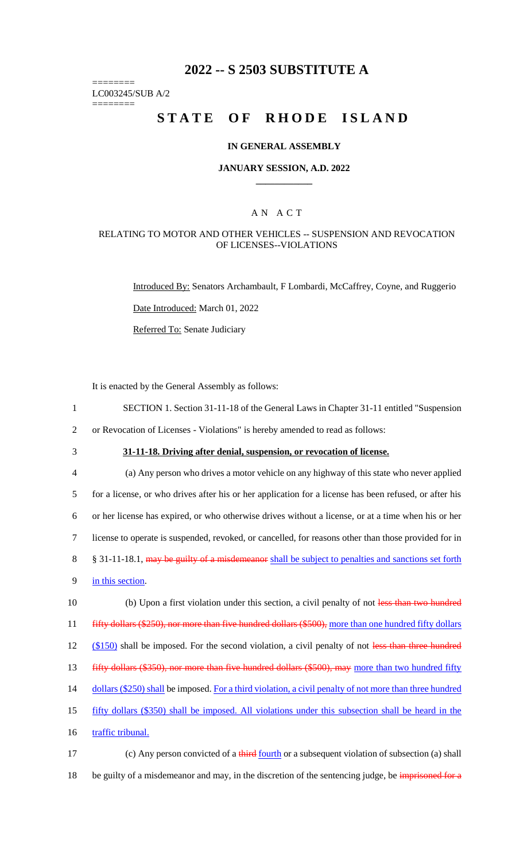# **2022 -- S 2503 SUBSTITUTE A**

======== LC003245/SUB A/2

========

# **STATE OF RHODE ISLAND**

#### **IN GENERAL ASSEMBLY**

#### **JANUARY SESSION, A.D. 2022 \_\_\_\_\_\_\_\_\_\_\_\_**

## A N A C T

#### RELATING TO MOTOR AND OTHER VEHICLES -- SUSPENSION AND REVOCATION OF LICENSES--VIOLATIONS

Introduced By: Senators Archambault, F Lombardi, McCaffrey, Coyne, and Ruggerio

Date Introduced: March 01, 2022

Referred To: Senate Judiciary

It is enacted by the General Assembly as follows:

- 1 SECTION 1. Section 31-11-18 of the General Laws in Chapter 31-11 entitled "Suspension 2 or Revocation of Licenses - Violations" is hereby amended to read as follows:
- 
- 

3 **31-11-18. Driving after denial, suspension, or revocation of license.**

4 (a) Any person who drives a motor vehicle on any highway of this state who never applied 5 for a license, or who drives after his or her application for a license has been refused, or after his 6 or her license has expired, or who otherwise drives without a license, or at a time when his or her 7 license to operate is suspended, revoked, or cancelled, for reasons other than those provided for in 8 § 31-11-18.1, may be guilty of a misdemeanor shall be subject to penalties and sanctions set forth 9 in this section. 10 (b) Upon a first violation under this section, a civil penalty of not less than two hundred 11 fifty dollars (\$250), nor more than five hundred dollars (\$500), more than one hundred fifty dollars 12 (\$150) shall be imposed. For the second violation, a civil penalty of not less than three hundred 13 fifty dollars (\$350), nor more than five hundred dollars (\$500), may more than two hundred fifty

14 dollars (\$250) shall be imposed. For a third violation, a civil penalty of not more than three hundred

15 fifty dollars (\$350) shall be imposed. All violations under this subsection shall be heard in the

16 traffic tribunal.

17 (c) Any person convicted of a third fourth or a subsequent violation of subsection (a) shall 18 be guilty of a misdemeanor and may, in the discretion of the sentencing judge, be imprisoned for a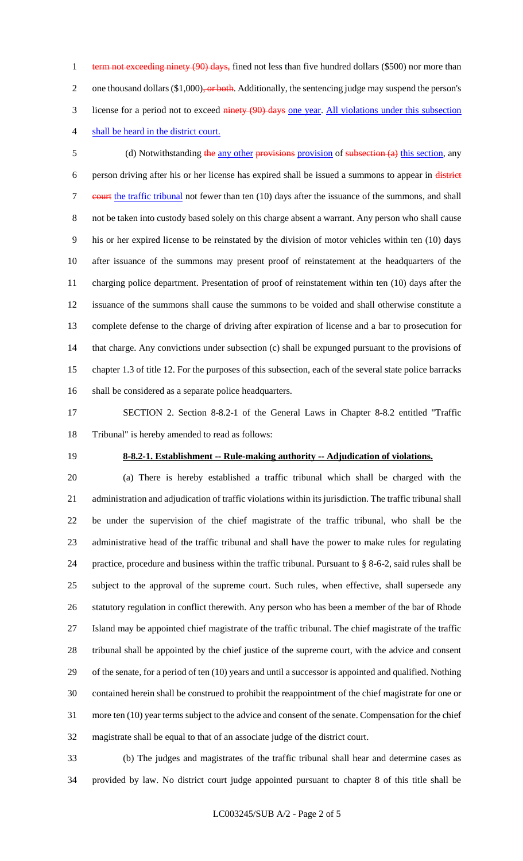1 term not exceeding ninety (90) days, fined not less than five hundred dollars (\$500) nor more than 2 one thousand dollars  $(\$1,000)$ , or both. Additionally, the sentencing judge may suspend the person's 3 license for a period not to exceed ninety (90) days one year. All violations under this subsection shall be heard in the district court.

5 (d) Notwithstanding the any other provisions provision of subsection (a) this section, any person driving after his or her license has expired shall be issued a summons to appear in district 7 court the traffic tribunal not fewer than ten (10) days after the issuance of the summons, and shall not be taken into custody based solely on this charge absent a warrant. Any person who shall cause his or her expired license to be reinstated by the division of motor vehicles within ten (10) days after issuance of the summons may present proof of reinstatement at the headquarters of the charging police department. Presentation of proof of reinstatement within ten (10) days after the issuance of the summons shall cause the summons to be voided and shall otherwise constitute a complete defense to the charge of driving after expiration of license and a bar to prosecution for that charge. Any convictions under subsection (c) shall be expunged pursuant to the provisions of chapter 1.3 of title 12. For the purposes of this subsection, each of the several state police barracks shall be considered as a separate police headquarters.

 SECTION 2. Section 8-8.2-1 of the General Laws in Chapter 8-8.2 entitled "Traffic Tribunal" is hereby amended to read as follows:

## **8-8.2-1. Establishment -- Rule-making authority -- Adjudication of violations.**

 (a) There is hereby established a traffic tribunal which shall be charged with the administration and adjudication of traffic violations within its jurisdiction. The traffic tribunal shall be under the supervision of the chief magistrate of the traffic tribunal, who shall be the administrative head of the traffic tribunal and shall have the power to make rules for regulating practice, procedure and business within the traffic tribunal. Pursuant to § 8-6-2, said rules shall be subject to the approval of the supreme court. Such rules, when effective, shall supersede any statutory regulation in conflict therewith. Any person who has been a member of the bar of Rhode Island may be appointed chief magistrate of the traffic tribunal. The chief magistrate of the traffic tribunal shall be appointed by the chief justice of the supreme court, with the advice and consent of the senate, for a period of ten (10) years and until a successor is appointed and qualified. Nothing contained herein shall be construed to prohibit the reappointment of the chief magistrate for one or more ten (10) year terms subject to the advice and consent of the senate. Compensation for the chief magistrate shall be equal to that of an associate judge of the district court.

 (b) The judges and magistrates of the traffic tribunal shall hear and determine cases as provided by law. No district court judge appointed pursuant to chapter 8 of this title shall be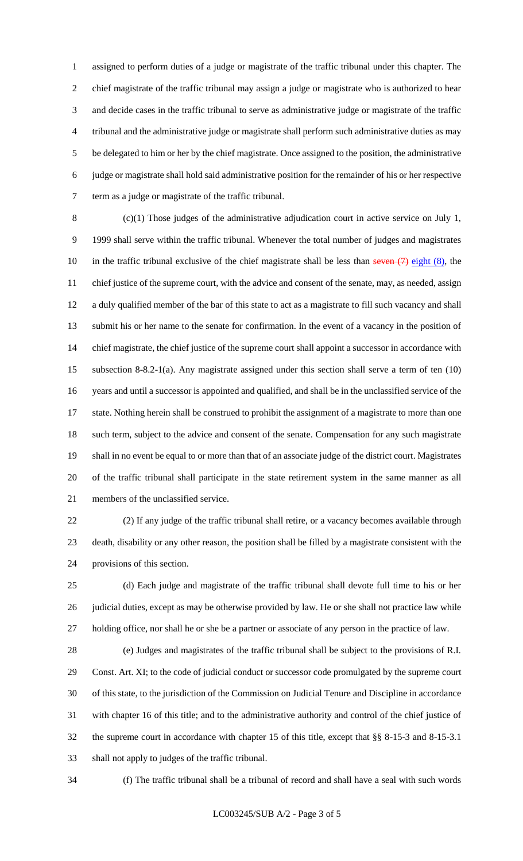assigned to perform duties of a judge or magistrate of the traffic tribunal under this chapter. The chief magistrate of the traffic tribunal may assign a judge or magistrate who is authorized to hear and decide cases in the traffic tribunal to serve as administrative judge or magistrate of the traffic tribunal and the administrative judge or magistrate shall perform such administrative duties as may be delegated to him or her by the chief magistrate. Once assigned to the position, the administrative judge or magistrate shall hold said administrative position for the remainder of his or her respective term as a judge or magistrate of the traffic tribunal.

 (c)(1) Those judges of the administrative adjudication court in active service on July 1, 1999 shall serve within the traffic tribunal. Whenever the total number of judges and magistrates 10 in the traffic tribunal exclusive of the chief magistrate shall be less than seven  $(7)$  eight  $(8)$ , the chief justice of the supreme court, with the advice and consent of the senate, may, as needed, assign a duly qualified member of the bar of this state to act as a magistrate to fill such vacancy and shall submit his or her name to the senate for confirmation. In the event of a vacancy in the position of chief magistrate, the chief justice of the supreme court shall appoint a successor in accordance with subsection 8-8.2-1(a). Any magistrate assigned under this section shall serve a term of ten (10) years and until a successor is appointed and qualified, and shall be in the unclassified service of the state. Nothing herein shall be construed to prohibit the assignment of a magistrate to more than one such term, subject to the advice and consent of the senate. Compensation for any such magistrate shall in no event be equal to or more than that of an associate judge of the district court. Magistrates of the traffic tribunal shall participate in the state retirement system in the same manner as all members of the unclassified service.

 (2) If any judge of the traffic tribunal shall retire, or a vacancy becomes available through death, disability or any other reason, the position shall be filled by a magistrate consistent with the provisions of this section.

 (d) Each judge and magistrate of the traffic tribunal shall devote full time to his or her judicial duties, except as may be otherwise provided by law. He or she shall not practice law while holding office, nor shall he or she be a partner or associate of any person in the practice of law.

 (e) Judges and magistrates of the traffic tribunal shall be subject to the provisions of R.I. Const. Art. XI; to the code of judicial conduct or successor code promulgated by the supreme court of this state, to the jurisdiction of the Commission on Judicial Tenure and Discipline in accordance with chapter 16 of this title; and to the administrative authority and control of the chief justice of the supreme court in accordance with chapter 15 of this title, except that §§ 8-15-3 and 8-15-3.1 shall not apply to judges of the traffic tribunal.

(f) The traffic tribunal shall be a tribunal of record and shall have a seal with such words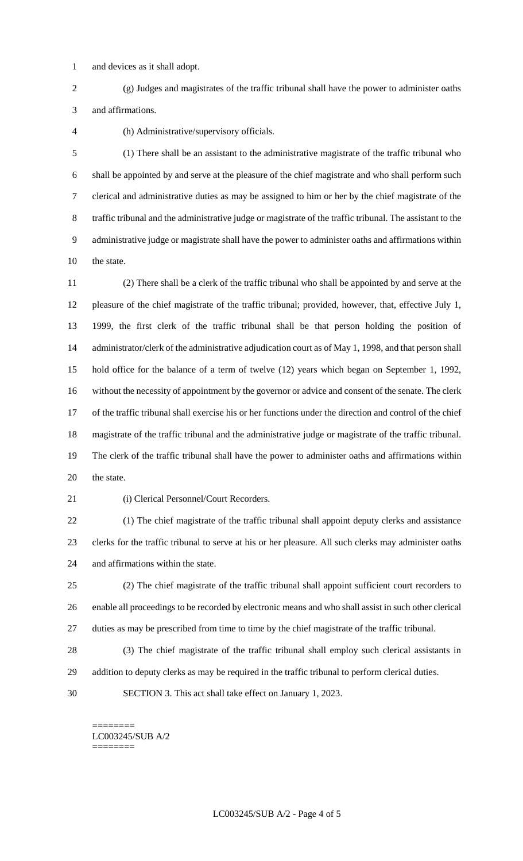and devices as it shall adopt.

 (g) Judges and magistrates of the traffic tribunal shall have the power to administer oaths and affirmations.

(h) Administrative/supervisory officials.

 (1) There shall be an assistant to the administrative magistrate of the traffic tribunal who shall be appointed by and serve at the pleasure of the chief magistrate and who shall perform such clerical and administrative duties as may be assigned to him or her by the chief magistrate of the traffic tribunal and the administrative judge or magistrate of the traffic tribunal. The assistant to the administrative judge or magistrate shall have the power to administer oaths and affirmations within the state.

 (2) There shall be a clerk of the traffic tribunal who shall be appointed by and serve at the pleasure of the chief magistrate of the traffic tribunal; provided, however, that, effective July 1, 1999, the first clerk of the traffic tribunal shall be that person holding the position of administrator/clerk of the administrative adjudication court as of May 1, 1998, and that person shall hold office for the balance of a term of twelve (12) years which began on September 1, 1992, without the necessity of appointment by the governor or advice and consent of the senate. The clerk of the traffic tribunal shall exercise his or her functions under the direction and control of the chief magistrate of the traffic tribunal and the administrative judge or magistrate of the traffic tribunal. The clerk of the traffic tribunal shall have the power to administer oaths and affirmations within 20 the state.

(i) Clerical Personnel/Court Recorders.

 (1) The chief magistrate of the traffic tribunal shall appoint deputy clerks and assistance clerks for the traffic tribunal to serve at his or her pleasure. All such clerks may administer oaths and affirmations within the state.

 (2) The chief magistrate of the traffic tribunal shall appoint sufficient court recorders to enable all proceedings to be recorded by electronic means and who shall assist in such other clerical duties as may be prescribed from time to time by the chief magistrate of the traffic tribunal.

- (3) The chief magistrate of the traffic tribunal shall employ such clerical assistants in
- addition to deputy clerks as may be required in the traffic tribunal to perform clerical duties.
- SECTION 3. This act shall take effect on January 1, 2023.

<sup>========</sup> LC003245/SUB A/2 ========